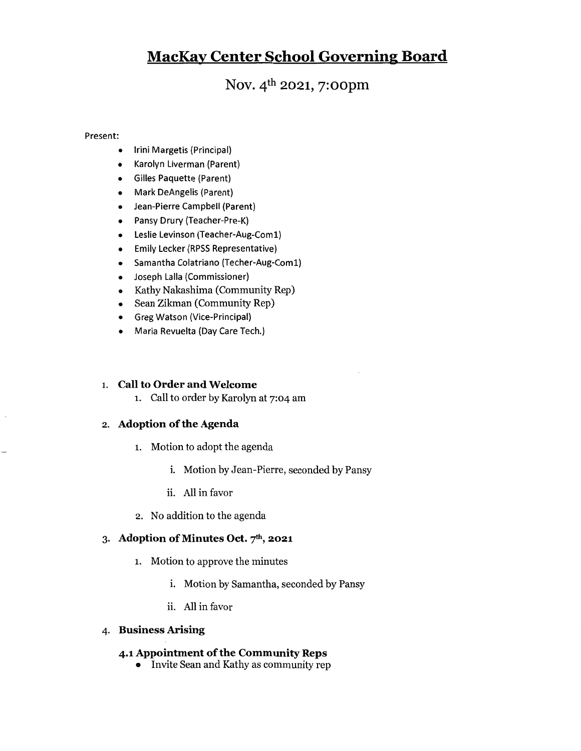## MacKav Center School Governing Board

Nov. 4<sup>th</sup> 2021, 7:00pm

### Present:

- $\bullet$ Irini Margetis (Principal)
- Karolyn Liverman (Parent)
- Gilles Paquette (Parent)
- Mark DeAngelis (Parent)
- Jean-Pierre Campbell (Parent)
- Pansy Drury (Teacher-Pre-K)
- Leslie Levinson (Teacher-Aug-Coml)
- Emily Lecker (RPSS Representative)
- Samantha Colatriano (Techer-Aug-Coml)
- Joseph Lalla (Commissioner)
- Kathy Nakashima (Community Rep)
- Sean Zikman (Community Rep)
- Greg Watson (Vice-Principal)
- Maria Revuelta (Day Care Tech.)

### 1. Call to Order and Welcome

i. Call to order by Karolyn at 7:04 am

### 2. Adoption of the Agenda

- i. Motion to adopt the agenda
	- i. Motion by Jean-Pierre, seconded by Pansy
	- ii. All in favor
- 2. No addition to the agenda

### 3. Adoption of Minutes Oct.  $7<sup>th</sup>$ , 2021

- i. Motion to approve the minutes
	- i. Motion by Samantha, seconded by Pansy
	- ii. All in favor

### 4. Business Arising

### 4.1 Appointment of the Community Reps

o Invite Sean and Kathy as community rep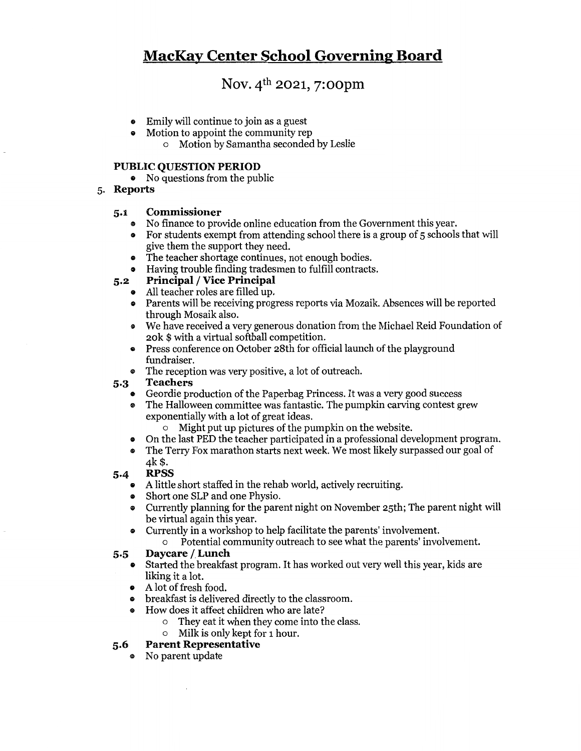## MacKav Center School Governine Board

### Nov. 4<sup>th</sup> 2021, 7:00pm

- ® Emily will continue to join as <sup>a</sup> guest
- ® Motion to appoint the community rep
	- o Motion by Samantha seconded by Leslie

### PUBLIC QUESTION PERIOD

- $\bullet$  No questions from the public
- 5. Reports

### 5.1 Commissioner

- ® No finance to provide online education from the Government this year.
- ® For students exempt from attending school there is <sup>a</sup> group of <sup>5</sup> schools that will give them the support they need.
- ® The teacher shortage continues, not enough bodies.
- Having trouble finding tradesmen to fulfill contracts.

### 5.2 Principal / Vice Principal

- ® All teacher roles are filled up.
- ® Parents will be receiving progress reports via Mozaik. Absences will be reported through Mosaik also.
- We have received a very generous donation from the Michael Reid Foundation of 2ok \$ with a virtual softball competition.
- Press conference on October 28th for official launch of the playground fundraiser.
- ® The reception was very positive, <sup>a</sup> lot of outreach.

### 5.3 Teachers

- Geordie production of the Paperbag Princess. It was a very good success<br>• The Halloween committee was fantastic. The pumpkin carving contest gr
- The Halloween committee was fantastic. The pumpkin carving contest grew exponentially with a lot of great ideas.
	- $\circ$  Might put up pictures of the pumpkin on the website.
- On the last PED the teacher participated in a professional development program.<br>• The Terry Fox marathon starts next week. We most likely surpassed our goal of
- The Terry Fox marathon starts next week. We most likely surpassed our goal of 4k \$.

### 5.4 RPSS

- ® <sup>A</sup> lifrtle short staffed in the rehab world, actively recruiting.
- Short one SLP and one Physio.
- ® Currently planning for the parent night on November 25th; The parent night will be virtual again this year.
- ® Currently in <sup>a</sup> workshop to help facilitate the parents' involvement.
	- o Potential community outreach to see what the parents' involvement.

# 5.5 Daycare / Lunch<br>Started the breakfase

- Started the breakfast program. It has worked out very well this year, kids are liking it a lot.
- A lot of fresh food.
- A for or fresh food.<br>• breakfast is delivered directly to the classroom.
- How does it affect children who are late? @
	- o They eat it when they come into the class.
	- o Milk is only kept for i hour.

# 5.6 Parent Representative<br>
No parent undate

No parent update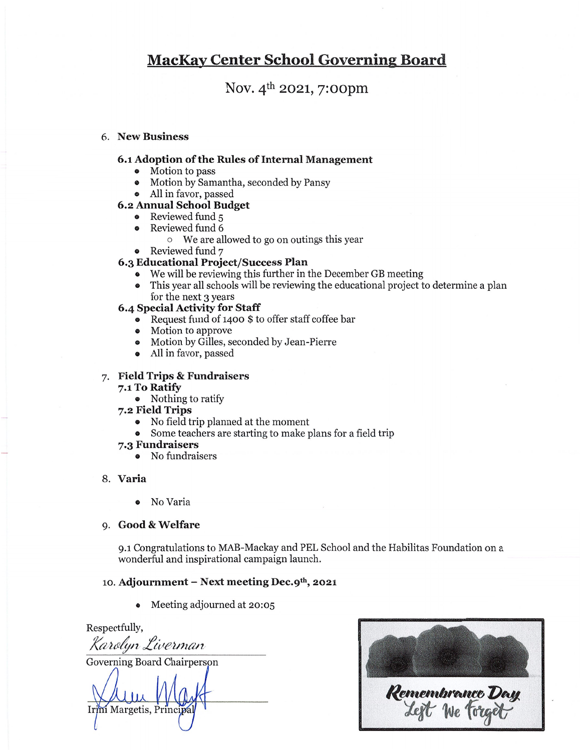### MacKav Center School Governine Board

Nov.  $4^{th}$  2021, 7:00pm

### 6. New Business

### 6.1 Adoption of the Rules of Internal Management

- Motion to pass
- ® Motion by Samantha, seconded by Pansy
- ® All in favor, passed

### 6.2 Annual School Budget

- Reviewed fund 5
- Reviewed fund 6
	- <sup>o</sup> We are allowed to go on outings this year
- Reviewed fund 7

### 6.3 Educational Project/Success Plan

- We will be reviewing this further in the December GB meeting
- 9 This year all schools will be reviewing the educational project to determine a plan for the next 3 years

### 6.4 Special Activity for Staff

- » Request fund of <sup>1400</sup> \$ to offer staff coffee bar
- » Motion to approve
- » Motion by Gilles, seconded by Jean-Pierre
- All in favor, passed

### 7. Field Trips & Fundraisers

#### 7.1 To Ratify

• Nothing to ratify

#### 7.2 Field Trips

- No fîeld trip planned at the moment
- Some teachers are starting to make plans for <sup>a</sup> field trip
- 7.3 Fundraisers
	- No fundraisers

### 8. Varia

® No Varia

### 9. Good&Welfare

9.1 Congratulations to MAB-Mackay and PEL School and the Habilitas Foundation on a wonderful and inspirational campaign launch.

### 10. Adjournment - Next meeting Dec. $9<sup>th</sup>$ , 2021

» Meeting adjourned at 20:05

Respectfully,

Karolyn Liverman

Governing Board Chairperspn

Irini Margetis, Princip